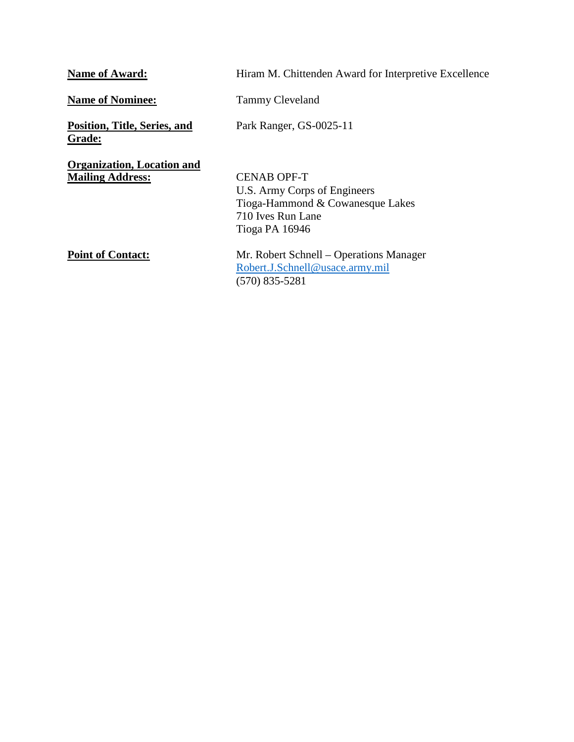| <b>Name of Award:</b>                                        | Hiram M. Chittenden Award for Interpretive Excellence                                                                         |
|--------------------------------------------------------------|-------------------------------------------------------------------------------------------------------------------------------|
| <b>Name of Nominee:</b>                                      | <b>Tammy Cleveland</b>                                                                                                        |
| Position, Title, Series, and<br><b>Grade:</b>                | Park Ranger, GS-0025-11                                                                                                       |
| <b>Organization, Location and</b><br><b>Mailing Address:</b> | <b>CENAB OPF-T</b><br>U.S. Army Corps of Engineers<br>Tioga-Hammond & Cowanesque Lakes<br>710 Ives Run Lane<br>Tioga PA 16946 |
| <b>Point of Contact:</b>                                     | Mr. Robert Schnell – Operations Manager<br>Robert.J.Schnell@usace.army.mil<br>$(570)$ 835-5281                                |
|                                                              |                                                                                                                               |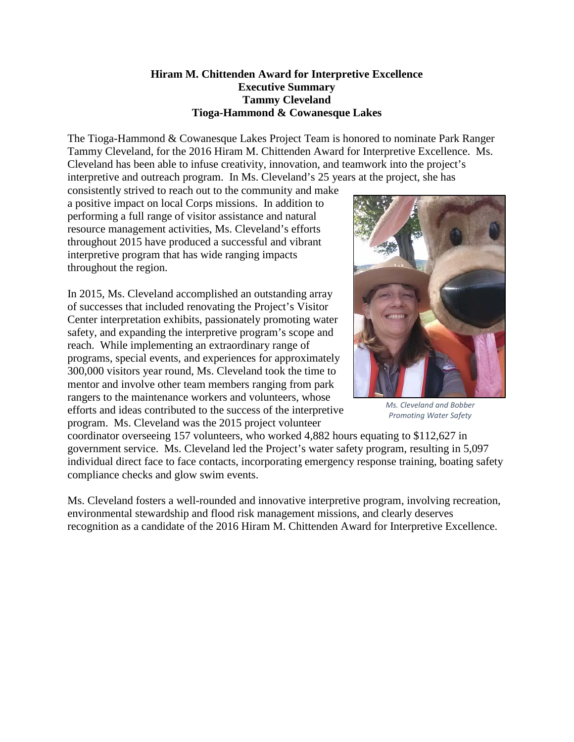## **Hiram M. Chittenden Award for Interpretive Excellence Executive Summary Tammy Cleveland Tioga-Hammond & Cowanesque Lakes**

The Tioga-Hammond & Cowanesque Lakes Project Team is honored to nominate Park Ranger Tammy Cleveland, for the 2016 Hiram M. Chittenden Award for Interpretive Excellence. Ms. Cleveland has been able to infuse creativity, innovation, and teamwork into the project's interpretive and outreach program. In Ms. Cleveland's 25 years at the project, she has

consistently strived to reach out to the community and make a positive impact on local Corps missions. In addition to performing a full range of visitor assistance and natural resource management activities, Ms. Cleveland's efforts throughout 2015 have produced a successful and vibrant interpretive program that has wide ranging impacts throughout the region.

In 2015, Ms. Cleveland accomplished an outstanding array of successes that included renovating the Project's Visitor Center interpretation exhibits, passionately promoting water safety, and expanding the interpretive program's scope and reach. While implementing an extraordinary range of programs, special events, and experiences for approximately 300,000 visitors year round, Ms. Cleveland took the time to mentor and involve other team members ranging from park rangers to the maintenance workers and volunteers, whose efforts and ideas contributed to the success of the interpretive program. Ms. Cleveland was the 2015 project volunteer



*Ms. Cleveland and Bobber Promoting Water Safety*

coordinator overseeing 157 volunteers, who worked 4,882 hours equating to \$112,627 in government service. Ms. Cleveland led the Project's water safety program, resulting in 5,097 individual direct face to face contacts, incorporating emergency response training, boating safety compliance checks and glow swim events.

Ms. Cleveland fosters a well-rounded and innovative interpretive program, involving recreation, environmental stewardship and flood risk management missions, and clearly deserves recognition as a candidate of the 2016 Hiram M. Chittenden Award for Interpretive Excellence.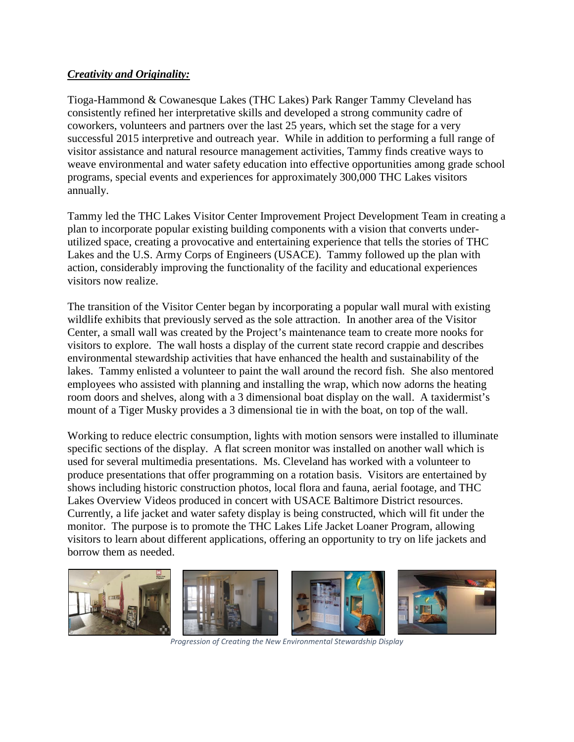## *Creativity and Originality:*

Tioga-Hammond & Cowanesque Lakes (THC Lakes) Park Ranger Tammy Cleveland has consistently refined her interpretative skills and developed a strong community cadre of coworkers, volunteers and partners over the last 25 years, which set the stage for a very successful 2015 interpretive and outreach year. While in addition to performing a full range of visitor assistance and natural resource management activities, Tammy finds creative ways to weave environmental and water safety education into effective opportunities among grade school programs, special events and experiences for approximately 300,000 THC Lakes visitors annually.

Tammy led the THC Lakes Visitor Center Improvement Project Development Team in creating a plan to incorporate popular existing building components with a vision that converts underutilized space, creating a provocative and entertaining experience that tells the stories of THC Lakes and the U.S. Army Corps of Engineers (USACE). Tammy followed up the plan with action, considerably improving the functionality of the facility and educational experiences visitors now realize.

The transition of the Visitor Center began by incorporating a popular wall mural with existing wildlife exhibits that previously served as the sole attraction. In another area of the Visitor Center, a small wall was created by the Project's maintenance team to create more nooks for visitors to explore. The wall hosts a display of the current state record crappie and describes environmental stewardship activities that have enhanced the health and sustainability of the lakes. Tammy enlisted a volunteer to paint the wall around the record fish. She also mentored employees who assisted with planning and installing the wrap, which now adorns the heating room doors and shelves, along with a 3 dimensional boat display on the wall. A taxidermist's mount of a Tiger Musky provides a 3 dimensional tie in with the boat, on top of the wall.

Working to reduce electric consumption, lights with motion sensors were installed to illuminate specific sections of the display. A flat screen monitor was installed on another wall which is used for several multimedia presentations. Ms. Cleveland has worked with a volunteer to produce presentations that offer programming on a rotation basis. Visitors are entertained by shows including historic construction photos, local flora and fauna, aerial footage, and THC Lakes Overview Videos produced in concert with USACE Baltimore District resources. Currently, a life jacket and water safety display is being constructed, which will fit under the monitor. The purpose is to promote the THC Lakes Life Jacket Loaner Program, allowing visitors to learn about different applications, offering an opportunity to try on life jackets and borrow them as needed.



*Progression of Creating the New Environmental Stewardship Display*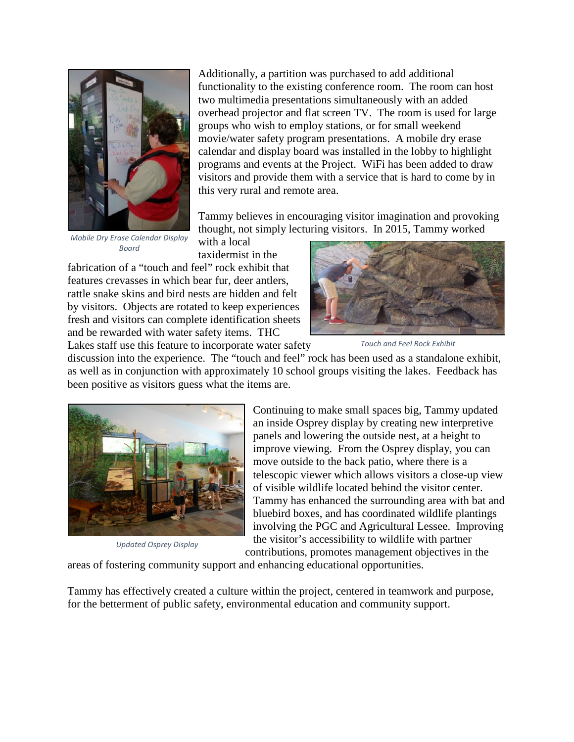

*Mobile Dry Erase Calendar Display Board*

Additionally, a partition was purchased to add additional functionality to the existing conference room. The room can host two multimedia presentations simultaneously with an added overhead projector and flat screen TV. The room is used for large groups who wish to employ stations, or for small weekend movie/water safety program presentations. A mobile dry erase calendar and display board was installed in the lobby to highlight programs and events at the Project. WiFi has been added to draw visitors and provide them with a service that is hard to come by in this very rural and remote area.

Tammy believes in encouraging visitor imagination and provoking thought, not simply lecturing visitors. In 2015, Tammy worked

with a local taxidermist in the

fabrication of a "touch and feel" rock exhibit that features crevasses in which bear fur, deer antlers, rattle snake skins and bird nests are hidden and felt by visitors. Objects are rotated to keep experiences fresh and visitors can complete identification sheets and be rewarded with water safety items. THC Lakes staff use this feature to incorporate water safety



*Touch and Feel Rock Exhibit*

discussion into the experience. The "touch and feel" rock has been used as a standalone exhibit, as well as in conjunction with approximately 10 school groups visiting the lakes. Feedback has been positive as visitors guess what the items are.



*Updated Osprey Display*

Continuing to make small spaces big, Tammy updated an inside Osprey display by creating new interpretive panels and lowering the outside nest, at a height to improve viewing. From the Osprey display, you can move outside to the back patio, where there is a telescopic viewer which allows visitors a close-up view of visible wildlife located behind the visitor center. Tammy has enhanced the surrounding area with bat and bluebird boxes, and has coordinated wildlife plantings involving the PGC and Agricultural Lessee. Improving the visitor's accessibility to wildlife with partner

contributions, promotes management objectives in the

areas of fostering community support and enhancing educational opportunities.

Tammy has effectively created a culture within the project, centered in teamwork and purpose, for the betterment of public safety, environmental education and community support.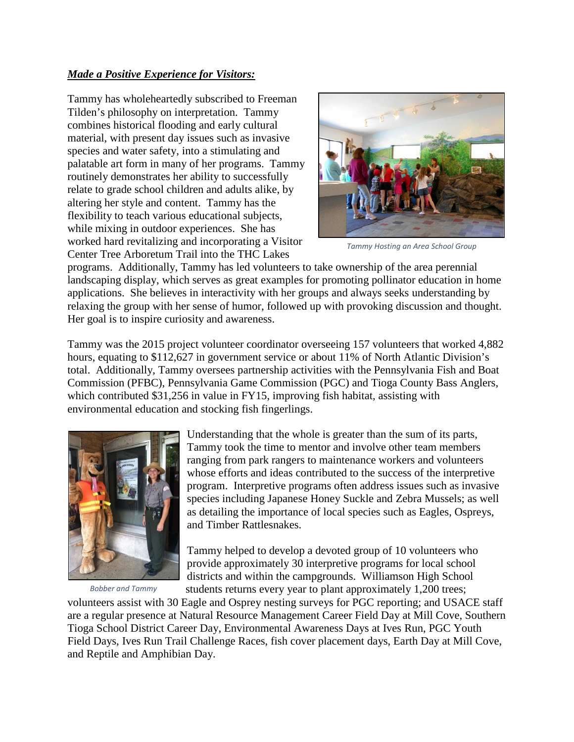## *Made a Positive Experience for Visitors:*

Tammy has wholeheartedly subscribed to Freeman Tilden's philosophy on interpretation. Tammy combines historical flooding and early cultural material, with present day issues such as invasive species and water safety, into a stimulating and palatable art form in many of her programs. Tammy routinely demonstrates her ability to successfully relate to grade school children and adults alike, by altering her style and content. Tammy has the flexibility to teach various educational subjects, while mixing in outdoor experiences. She has worked hard revitalizing and incorporating a Visitor Center Tree Arboretum Trail into the THC Lakes



*Tammy Hosting an Area School Group*

programs. Additionally, Tammy has led volunteers to take ownership of the area perennial landscaping display, which serves as great examples for promoting pollinator education in home applications. She believes in interactivity with her groups and always seeks understanding by relaxing the group with her sense of humor, followed up with provoking discussion and thought. Her goal is to inspire curiosity and awareness.

Tammy was the 2015 project volunteer coordinator overseeing 157 volunteers that worked 4,882 hours, equating to \$112,627 in government service or about 11% of North Atlantic Division's total. Additionally, Tammy oversees partnership activities with the Pennsylvania Fish and Boat Commission (PFBC), Pennsylvania Game Commission (PGC) and Tioga County Bass Anglers, which contributed \$31,256 in value in FY15, improving fish habitat, assisting with environmental education and stocking fish fingerlings.



*Bobber and Tammy*

Understanding that the whole is greater than the sum of its parts, Tammy took the time to mentor and involve other team members ranging from park rangers to maintenance workers and volunteers whose efforts and ideas contributed to the success of the interpretive program. Interpretive programs often address issues such as invasive species including Japanese Honey Suckle and Zebra Mussels; as well as detailing the importance of local species such as Eagles, Ospreys, and Timber Rattlesnakes.

Tammy helped to develop a devoted group of 10 volunteers who provide approximately 30 interpretive programs for local school districts and within the campgrounds. Williamson High School students returns every year to plant approximately 1,200 trees;

volunteers assist with 30 Eagle and Osprey nesting surveys for PGC reporting; and USACE staff are a regular presence at Natural Resource Management Career Field Day at Mill Cove, Southern Tioga School District Career Day, Environmental Awareness Days at Ives Run, PGC Youth Field Days, Ives Run Trail Challenge Races, fish cover placement days, Earth Day at Mill Cove, and Reptile and Amphibian Day.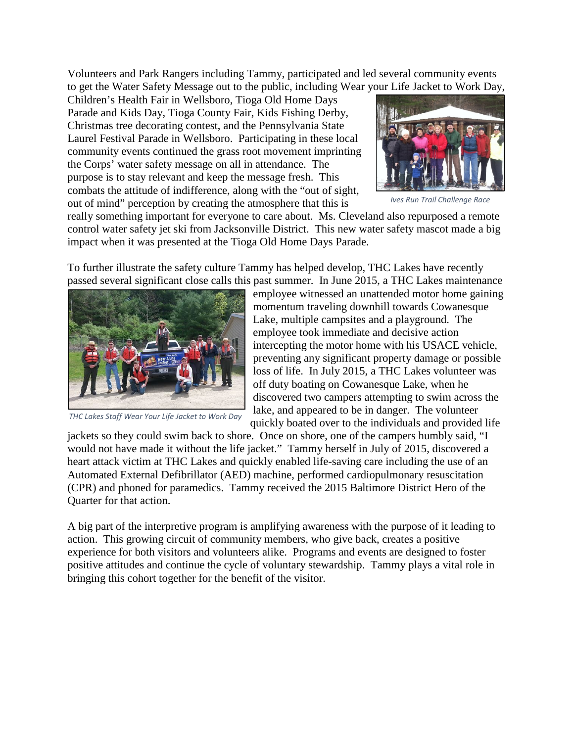Volunteers and Park Rangers including Tammy, participated and led several community events to get the Water Safety Message out to the public, including Wear your Life Jacket to Work Day,

Children's Health Fair in Wellsboro, Tioga Old Home Days Parade and Kids Day, Tioga County Fair, Kids Fishing Derby, Christmas tree decorating contest, and the Pennsylvania State Laurel Festival Parade in Wellsboro. Participating in these local community events continued the grass root movement imprinting the Corps' water safety message on all in attendance. The purpose is to stay relevant and keep the message fresh. This combats the attitude of indifference, along with the "out of sight, out of mind" perception by creating the atmosphere that this is



*Ives Run Trail Challenge Race*

really something important for everyone to care about. Ms. Cleveland also repurposed a remote control water safety jet ski from Jacksonville District. This new water safety mascot made a big impact when it was presented at the Tioga Old Home Days Parade.

To further illustrate the safety culture Tammy has helped develop, THC Lakes have recently passed several significant close calls this past summer. In June 2015, a THC Lakes maintenance



*THC Lakes Staff Wear Your Life Jacket to Work Day*

employee witnessed an unattended motor home gaining momentum traveling downhill towards Cowanesque Lake, multiple campsites and a playground. The employee took immediate and decisive action intercepting the motor home with his USACE vehicle, preventing any significant property damage or possible loss of life. In July 2015, a THC Lakes volunteer was off duty boating on Cowanesque Lake, when he discovered two campers attempting to swim across the lake, and appeared to be in danger. The volunteer quickly boated over to the individuals and provided life

jackets so they could swim back to shore. Once on shore, one of the campers humbly said, "I would not have made it without the life jacket." Tammy herself in July of 2015, discovered a heart attack victim at THC Lakes and quickly enabled life-saving care including the use of an Automated External Defibrillator (AED) machine, performed cardiopulmonary resuscitation (CPR) and phoned for paramedics. Tammy received the 2015 Baltimore District Hero of the Quarter for that action.

A big part of the interpretive program is amplifying awareness with the purpose of it leading to action. This growing circuit of community members, who give back, creates a positive experience for both visitors and volunteers alike. Programs and events are designed to foster positive attitudes and continue the cycle of voluntary stewardship. Tammy plays a vital role in bringing this cohort together for the benefit of the visitor.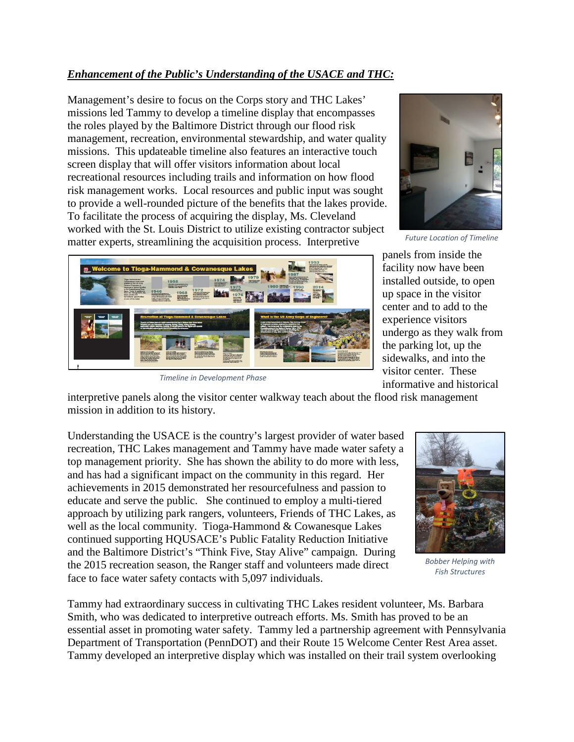# *Enhancement of the Public's Understanding of the USACE and THC:*

Management's desire to focus on the Corps story and THC Lakes' missions led Tammy to develop a timeline display that encompasses the roles played by the Baltimore District through our flood risk management, recreation, environmental stewardship, and water quality missions. This updateable timeline also features an interactive touch screen display that will offer visitors information about local recreational resources including trails and information on how flood risk management works. Local resources and public input was sought to provide a well-rounded picture of the benefits that the lakes provide. To facilitate the process of acquiring the display, Ms. Cleveland worked with the St. Louis District to utilize existing contractor subject matter experts, streamlining the acquisition process. Interpretive



*Future Location of Timeline*



*Timeline in Development Phase*

panels from inside the facility now have been installed outside, to open up space in the visitor center and to add to the experience visitors undergo as they walk from the parking lot, up the sidewalks, and into the visitor center. These informative and historical

interpretive panels along the visitor center walkway teach about the flood risk management mission in addition to its history.

Understanding the USACE is the country's largest provider of water based recreation, THC Lakes management and Tammy have made water safety a top management priority. She has shown the ability to do more with less, and has had a significant impact on the community in this regard. Her achievements in 2015 demonstrated her resourcefulness and passion to educate and serve the public. She continued to employ a multi-tiered approach by utilizing park rangers, volunteers, Friends of THC Lakes, as well as the local community. Tioga-Hammond & Cowanesque Lakes continued supporting HQUSACE's Public Fatality Reduction Initiative and the Baltimore District's "Think Five, Stay Alive" campaign. During the 2015 recreation season, the Ranger staff and volunteers made direct face to face water safety contacts with 5,097 individuals.



*Bobber Helping with Fish Structures*

Tammy had extraordinary success in cultivating THC Lakes resident volunteer, Ms. Barbara Smith, who was dedicated to interpretive outreach efforts. Ms. Smith has proved to be an essential asset in promoting water safety. Tammy led a partnership agreement with Pennsylvania Department of Transportation (PennDOT) and their Route 15 Welcome Center Rest Area asset. Tammy developed an interpretive display which was installed on their trail system overlooking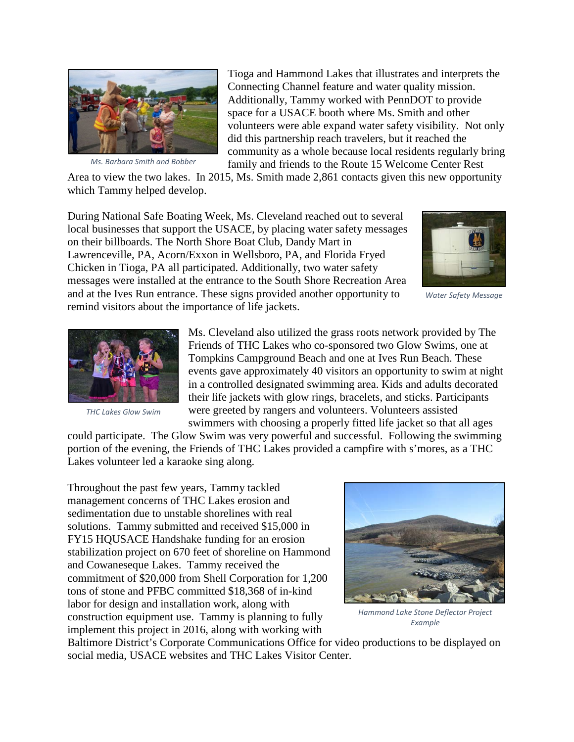

*Ms. Barbara Smith and Bobber*

Tioga and Hammond Lakes that illustrates and interprets the Connecting Channel feature and water quality mission. Additionally, Tammy worked with PennDOT to provide space for a USACE booth where Ms. Smith and other volunteers were able expand water safety visibility. Not only did this partnership reach travelers, but it reached the community as a whole because local residents regularly bring family and friends to the Route 15 Welcome Center Rest

Area to view the two lakes. In 2015, Ms. Smith made 2,861 contacts given this new opportunity which Tammy helped develop.

During National Safe Boating Week, Ms. Cleveland reached out to several local businesses that support the USACE, by placing water safety messages on their billboards. The North Shore Boat Club, Dandy Mart in Lawrenceville, PA, Acorn/Exxon in Wellsboro, PA, and Florida Fryed Chicken in Tioga, PA all participated. Additionally, two water safety messages were installed at the entrance to the South Shore Recreation Area and at the Ives Run entrance. These signs provided another opportunity to remind visitors about the importance of life jackets.



*Water Safety Message*



*THC Lakes Glow Swim*

Ms. Cleveland also utilized the grass roots network provided by The Friends of THC Lakes who co-sponsored two Glow Swims, one at Tompkins Campground Beach and one at Ives Run Beach. These events gave approximately 40 visitors an opportunity to swim at night in a controlled designated swimming area. Kids and adults decorated their life jackets with glow rings, bracelets, and sticks. Participants were greeted by rangers and volunteers. Volunteers assisted swimmers with choosing a properly fitted life jacket so that all ages

could participate. The Glow Swim was very powerful and successful. Following the swimming portion of the evening, the Friends of THC Lakes provided a campfire with s'mores, as a THC Lakes volunteer led a karaoke sing along.

Throughout the past few years, Tammy tackled management concerns of THC Lakes erosion and sedimentation due to unstable shorelines with real solutions. Tammy submitted and received \$15,000 in FY15 HQUSACE Handshake funding for an erosion stabilization project on 670 feet of shoreline on Hammond and Cowaneseque Lakes. Tammy received the commitment of \$20,000 from Shell Corporation for 1,200 tons of stone and PFBC committed \$18,368 of in-kind labor for design and installation work, along with construction equipment use. Tammy is planning to fully implement this project in 2016, along with working with



*Hammond Lake Stone Deflector Project Example*

Baltimore District's Corporate Communications Office for video productions to be displayed on social media, USACE websites and THC Lakes Visitor Center.